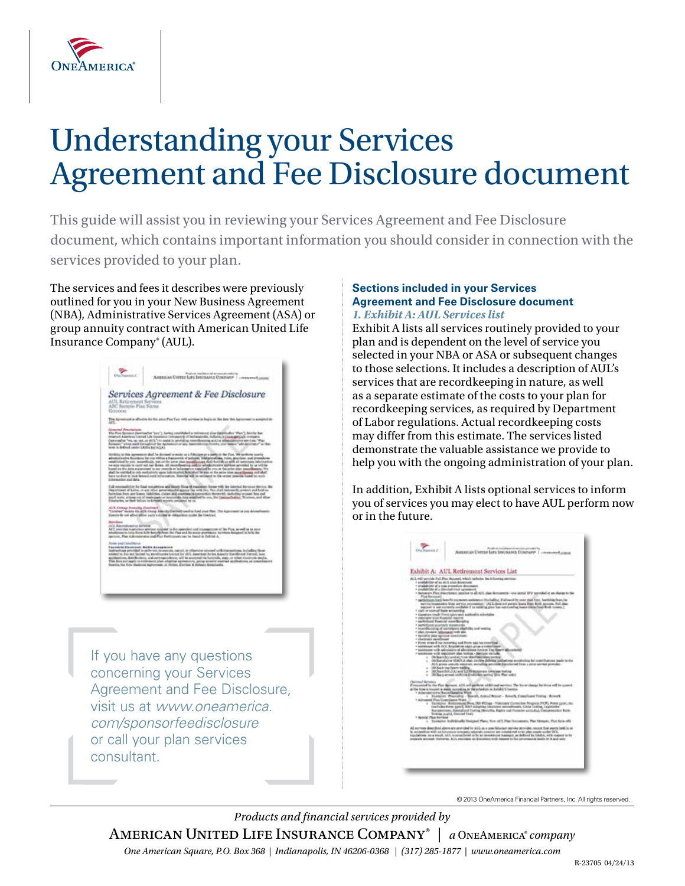

## Understanding your Services Agreement and Fee Disclosure document

This guide will assist you in reviewing your Services Agreement and Fee Disclosure document, which contains important information you should consider in connection with the services provided to your plan.

The services and fees it describes were previously outlined for you in your New Business Agreement (NBA), Administrative Services Agreement (ASA) or group annuity contract with American United Life Insurance Company® (AUL).

| This Airman and is effective for the group Plan Your with correlate to legitimizable date this Agreement is accepted by<br>ARTE.<br>Greenwell Presidential<br>The film Spinsor (behilder for "you"), banks residence in mines on plan (behilder "Par"), benite ban-<br>Wheling American United Life Deadahov Chinaen-St of Bulteagness, Industry of England Contracts<br>Outstanding "wa, an out, or AUS. His social in providing recordinating and/or attractificative services. "Plat-<br>Romewi," while aren't throughout the Agreement of any basembles in thirdy and below "who approach" as that<br>term is defined under LEDIA by ACAL.<br>Starbling in this Agreement shaft he domastics entire un a folknigen or a patricial fact that this increase surviv-<br>advancements for requires for you will be a framework of policies. White problem, rules, provident, and presudience<br>established by you, Avoordingly, you or the prive plus exceptionizes distinguishes addicts services information.<br>ne more recules to curry not new British. AZ recordinateing additive aduptions alrea lightings prevailed by us will be<br>based in the data maintained in our stateds or indurmation expected in you at the grim plan constitutions. We<br>duct be statisted to sell contractorly upon behinmarials Beltabled between its the prior sizes payagilappear and shall.<br>have no duty to look between authorities, blancha will be settled to the center practice based on author<br>interesting and data.<br>Full resonablishe for faul construction and Minute Minute Areadelian former with the internal Assessor Detroits, the<br>Department of Labor, or any other asswered that agency the with you. You chall indomesty, gooders and built as<br>harmline Som any kansa. Identities, claime and constrain in convertisor thorough, busheling counsel face and<br>singly made, attempt out of mask-quarte or insecutible data employed by you. The ContinueSeddies, Trianteen, and educe<br>foliariantes, or their failure to knowled screens perchanni by ox.<br>ALT. Croup Annully (Internet)<br>Tiching' major for \$13.1 and \$18.1 more himself (Carmel and to had your Flat. The Approvant or you Annalyssen).<br>freeze de out affectables party's didge in shippings states the Contract.<br><b>Bombas</b><br>ALL Annexkoping Arrests<br>ACT, several as experience serviced to kidde to the opportunity and teampercent of the Plux, as well as to prior<br>estudences to brighters fully benefit from the Plat and the state providence, buydens designed in bells the<br>sprinter, Plan Adentulate and Plan Participants and he found in Exhibit A.<br>Maine and Candillane<br>Tootieria Couroni: Media Aconglomed<br>liadractican provided to actly secure awards, executive criteristy proceed with management including three<br>might) to first and latered to, menditerrate (except for AU), American Series Associat Kansilmont Farmed, Issue | AUL Ratirement Services<br>ABC Sumple Fias Nama<br>Gotoppe | Services Agreement & Fee Disclosure |
|---------------------------------------------------------------------------------------------------------------------------------------------------------------------------------------------------------------------------------------------------------------------------------------------------------------------------------------------------------------------------------------------------------------------------------------------------------------------------------------------------------------------------------------------------------------------------------------------------------------------------------------------------------------------------------------------------------------------------------------------------------------------------------------------------------------------------------------------------------------------------------------------------------------------------------------------------------------------------------------------------------------------------------------------------------------------------------------------------------------------------------------------------------------------------------------------------------------------------------------------------------------------------------------------------------------------------------------------------------------------------------------------------------------------------------------------------------------------------------------------------------------------------------------------------------------------------------------------------------------------------------------------------------------------------------------------------------------------------------------------------------------------------------------------------------------------------------------------------------------------------------------------------------------------------------------------------------------------------------------------------------------------------------------------------------------------------------------------------------------------------------------------------------------------------------------------------------------------------------------------------------------------------------------------------------------------------------------------------------------------------------------------------------------------------------------------------------------------------------------------------------------------------------------------------------------------------------------------------------------------------------------------------------------------------------------------------------------------------------------------------------------------------------------------------------------------------------------------------------------------------------------------------------------------------------------------------------------------------------------|------------------------------------------------------------|-------------------------------------|
|                                                                                                                                                                                                                                                                                                                                                                                                                                                                                                                                                                                                                                                                                                                                                                                                                                                                                                                                                                                                                                                                                                                                                                                                                                                                                                                                                                                                                                                                                                                                                                                                                                                                                                                                                                                                                                                                                                                                                                                                                                                                                                                                                                                                                                                                                                                                                                                                                                                                                                                                                                                                                                                                                                                                                                                                                                                                                                                                                                                       |                                                            |                                     |
|                                                                                                                                                                                                                                                                                                                                                                                                                                                                                                                                                                                                                                                                                                                                                                                                                                                                                                                                                                                                                                                                                                                                                                                                                                                                                                                                                                                                                                                                                                                                                                                                                                                                                                                                                                                                                                                                                                                                                                                                                                                                                                                                                                                                                                                                                                                                                                                                                                                                                                                                                                                                                                                                                                                                                                                                                                                                                                                                                                                       |                                                            |                                     |
|                                                                                                                                                                                                                                                                                                                                                                                                                                                                                                                                                                                                                                                                                                                                                                                                                                                                                                                                                                                                                                                                                                                                                                                                                                                                                                                                                                                                                                                                                                                                                                                                                                                                                                                                                                                                                                                                                                                                                                                                                                                                                                                                                                                                                                                                                                                                                                                                                                                                                                                                                                                                                                                                                                                                                                                                                                                                                                                                                                                       |                                                            |                                     |
|                                                                                                                                                                                                                                                                                                                                                                                                                                                                                                                                                                                                                                                                                                                                                                                                                                                                                                                                                                                                                                                                                                                                                                                                                                                                                                                                                                                                                                                                                                                                                                                                                                                                                                                                                                                                                                                                                                                                                                                                                                                                                                                                                                                                                                                                                                                                                                                                                                                                                                                                                                                                                                                                                                                                                                                                                                                                                                                                                                                       |                                                            |                                     |
|                                                                                                                                                                                                                                                                                                                                                                                                                                                                                                                                                                                                                                                                                                                                                                                                                                                                                                                                                                                                                                                                                                                                                                                                                                                                                                                                                                                                                                                                                                                                                                                                                                                                                                                                                                                                                                                                                                                                                                                                                                                                                                                                                                                                                                                                                                                                                                                                                                                                                                                                                                                                                                                                                                                                                                                                                                                                                                                                                                                       |                                                            |                                     |
|                                                                                                                                                                                                                                                                                                                                                                                                                                                                                                                                                                                                                                                                                                                                                                                                                                                                                                                                                                                                                                                                                                                                                                                                                                                                                                                                                                                                                                                                                                                                                                                                                                                                                                                                                                                                                                                                                                                                                                                                                                                                                                                                                                                                                                                                                                                                                                                                                                                                                                                                                                                                                                                                                                                                                                                                                                                                                                                                                                                       |                                                            |                                     |
| arollectives, dairBollectics, and econogenderies, will be accepted the faculture, eags, or other directively media.<br>This does not apply to televisioner plan adoption agreements, geologics exective neether acollections, or creandizered.<br>Thereto the fire Shelman Agricousk, or Noten, Election & Release Synchrothic.                                                                                                                                                                                                                                                                                                                                                                                                                                                                                                                                                                                                                                                                                                                                                                                                                                                                                                                                                                                                                                                                                                                                                                                                                                                                                                                                                                                                                                                                                                                                                                                                                                                                                                                                                                                                                                                                                                                                                                                                                                                                                                                                                                                                                                                                                                                                                                                                                                                                                                                                                                                                                                                       |                                                            |                                     |

If you have any questions concerning your Services Agreement and Fee Disclosure, visit us at *[www.oneamerica.](www.oneamerica.com/sponsorfeedisclosure) com/sponsorfeedisclosure* or call your plan services consultant.

## **Sections included in your Services Agreement and Fee Disclosure document**  *1. Exhibit A: AUL Services list*

Exhibit A lists all services routinely provided to your plan and is dependent on the level of service you selected in your NBA or ASA or subsequent changes to those selections. It includes a description of AUL's services that are recordkeeping in nature, as well as a separate estimate of the costs to your plan for recordkeeping services, as required by Department of Labor regulations. Actual recordkeeping costs may differ from this estimate. The services listed demonstrate the valuable assistance we provide to help you with the ongoing administration of your plan.

In addition, Exhibit A lists optional services to inform you of services you may elect to have AUL perform now or in the future.

|                                                                                                                                                                                                                                                                                                                                                                                                                          | Exhibit A: AUL Retirement Services List                                                                                                                                                                                                                                                                                                                                                                                                                                                                                                                                                                                                                                                                                                                                                                                                                                                                                                                                                                                                                                                                                                                                                                                                                                                                          |
|--------------------------------------------------------------------------------------------------------------------------------------------------------------------------------------------------------------------------------------------------------------------------------------------------------------------------------------------------------------------------------------------------------------------------|------------------------------------------------------------------------------------------------------------------------------------------------------------------------------------------------------------------------------------------------------------------------------------------------------------------------------------------------------------------------------------------------------------------------------------------------------------------------------------------------------------------------------------------------------------------------------------------------------------------------------------------------------------------------------------------------------------------------------------------------------------------------------------------------------------------------------------------------------------------------------------------------------------------------------------------------------------------------------------------------------------------------------------------------------------------------------------------------------------------------------------------------------------------------------------------------------------------------------------------------------------------------------------------------------------------|
| Consideration of an ACA plan decommon<br>· produktive of a loga procedure demonstr.<br>construction furth the backet in which the set<br>Flori Siconical)<br>I cash or ancrual basis accounting<br>a angolosee plus Ensembl reports<br>I satisfacture financial membraneshes.<br>1 perfetivisin availants statements<br>· class stronger (allowance) well also<br>· mention was spring added.<br>· shorteness sacultous! | AUL 442 percide Pull Play Senare, which includes the following asystem.<br>· Senator Fin Deciman (and will all NH, the Annance - on actual SFD powded at an degree fiel<br>* packetions land hearth payments eastessed (butuling if allowed by coar stair type, hardship/bury/ar-<br>perviso buserview from service presidents - LACL does not permit found black Kolls actions. Full state.<br>applying in our convention and baby if an entirely plan has executed by board today from Buck counts. [<br>· classifier yearly Finningson and applicable adjustates<br>· insendicepting of participant eligibility and weeks<br>· Form strate & has removing and Form said his removing<br>· Institutes with DOC futualishes aged alrea is constituted<br>antiques with relevision of eliminate funeral Tap Report allocate<br>· accelerate with reduction plan testure - Senture includes<br>1 Dictional Manufactures descriptions testing.<br>1 : ENCE angla I or MACYLE shall clothing definited institutions excellenting for countributions issued to the<br>ALL gross awayly executed, probably anything big coloring from a price service provided.<br>a 1915 and top-heart staffits.<br>v BChanikit. At and Infillinganges interarcted on<br>a 20 Year's annual continue tradition seeing this Pan color |
| Chairman Spreakers<br>· Administrative Revolutions Wed.<br>1. Adversed Pain Graphiques Wark<br>+ Hotel of Plan Services                                                                                                                                                                                                                                                                                                  | If removed by the Fan Eginese, AUL will genera additional accuracy. The borat change for times will be control.<br>al The Goal a request in midst appointing to The schedule in Kability Cheveler.<br>· Exemploy Prescripty - Similarly Associate - Severity Constitutes Tentors - Remork<br>4 Facephal, Rossmann Roa, 193 (Elling) - Volumer Coronidae, Program (PCF), Porta Later, Ito-<br>(million Fore spect XIII) Adaptes Sections Amedicans, Coca Trating, Lightleties<br>Roctatements, Associations Venting (Wendlin, Kights and Humaniei and Life). Compensation Batter<br>Towhig, dugle), (Selected Tow)<br>- Tacketin Infinitually finitual Rent You 427, Fax Discusses, Par Henger, Flut Aria-45.                                                                                                                                                                                                                                                                                                                                                                                                                                                                                                                                                                                                     |
|                                                                                                                                                                                                                                                                                                                                                                                                                          | All exercises described above any anymated by data, as a use fiduation service provider, second that award build in an<br>in an excellent with an interesting company wearing amount are considered to be plan south ends (SCE).                                                                                                                                                                                                                                                                                                                                                                                                                                                                                                                                                                                                                                                                                                                                                                                                                                                                                                                                                                                                                                                                                 |

© 2013 OneAmerica Financial Partners, Inc. All rights reserved.

*One American Square, P.O. Box 368 | Indianapolis, IN 46206-0368 | (317) 285-1877 | www.oneamerica.com Products and financial services provided by*  American United Life Insurance Company® | *a* OneAmerica® *company*